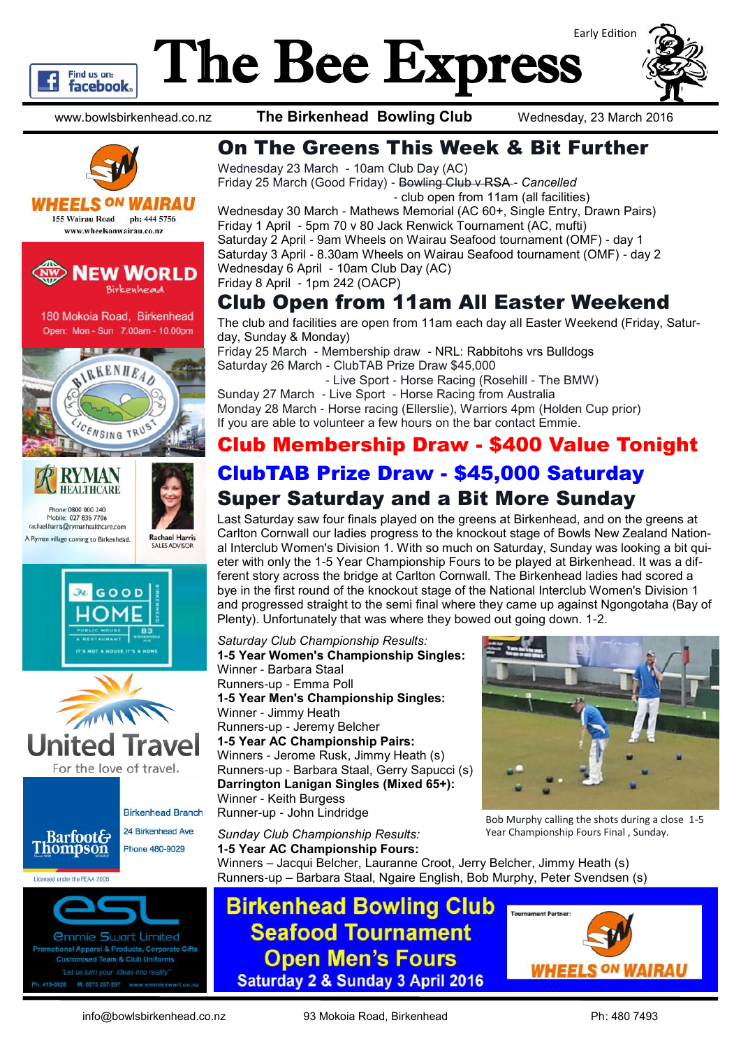

# The Bee Express



www.bowlsbirkenhead.co.nz **The Birkenhead Bowling Club** Wednesday, 23 March 2016



**WHEELS <sup>ON</sup> WAIRAU** 155 Wairau Road ph: 444 5756 www.wheelsonwairau.co.nz



180 Mokoia Road, Birkenhead Open: Mon - Sun 7.00am - 10.00pm





**Rachael Harris** 







**Ammie Swart Limited** al Apparel & Products, Corporate Gifts ed Team & Club Uniforms M: 0275 297-297

Wednesday 23 March - 10am Club Day (AC) Friday 25 March (Good Friday) - Bowling Club v RSA *- Cancelled*

- club open from 11am (all facilities) Wednesday 30 March - Mathews Memorial (AC 60+, Single Entry, Drawn Pairs) Friday 1 April - 5pm 70 v 80 Jack Renwick Tournament (AC, mufti) Saturday 2 April - 9am Wheels on Wairau Seafood tournament (OMF) - day 1 Saturday 3 April - 8.30am Wheels on Wairau Seafood tournament (OMF) - day 2 Wednesday 6 April - 10am Club Day (AC) Friday 8 April - 1pm 242 (OACP)

### Club Open from 11am All Easter Weekend

The club and facilities are open from 11am each day all Easter Weekend (Friday, Saturday, Sunday & Monday)

Friday 25 March - Membership draw - NRL: Rabbitohs vrs Bulldogs Saturday 26 March - ClubTAB Prize Draw \$45,000

 - Live Sport - Horse Racing (Rosehill - The BMW) Sunday 27 March - Live Sport - Horse Racing from Australia Monday 28 March - Horse racing (Ellerslie), Warriors 4pm (Holden Cup prior) If you are able to volunteer a few hours on the bar contact Emmie.

# Club Membership Draw - \$400 Value Tonight ClubTAB Prize Draw - \$45,000 Saturday

# Super Saturday and a Bit More Sunday

Last Saturday saw four finals played on the greens at Birkenhead, and on the greens at Carlton Cornwall our ladies progress to the knockout stage of Bowls New Zealand National Interclub Women's Division 1. With so much on Saturday, Sunday was looking a bit quieter with only the 1-5 Year Championship Fours to be played at Birkenhead. It was a different story across the bridge at Carlton Cornwall. The Birkenhead ladies had scored a bye in the first round of the knockout stage of the National Interclub Women's Division 1 and progressed straight to the semi final where they came up against Ngongotaha (Bay of Plenty). Unfortunately that was where they bowed out going down. 1-2.

*Saturday Club Championship Results:* **1-5 Year Women's Championship Singles:** Winner - Barbara Staal Runners-up - Emma Poll **1-5 Year Men's Championship Singles:** Winner - Jimmy Heath Runners-up - Jeremy Belcher **1-5 Year AC Championship Pairs:** Winners - Jerome Rusk, Jimmy Heath (s) Runners-up - Barbara Staal, Gerry Sapucci (s) **Darrington Lanigan Singles (Mixed 65+):** Winner - Keith Burgess Runner-up - John Lindridge



Bob Murphy calling the shots during a close 1-5 Year Championship Fours Final , Sunday.

*Sunday Club Championship Results:* **1-5 Year AC Championship Fours:** Winners – Jacqui Belcher, Lauranne Croot, Jerry Belcher, Jimmy Heath (s) Runners-up – Barbara Staal, Ngaire English, Bob Murphy, Peter Svendsen (s)

# **Birkenhead Bowling Club Seafood Tournament Open Men's Fours Saturday 2 & Sunday 3 April 2016**